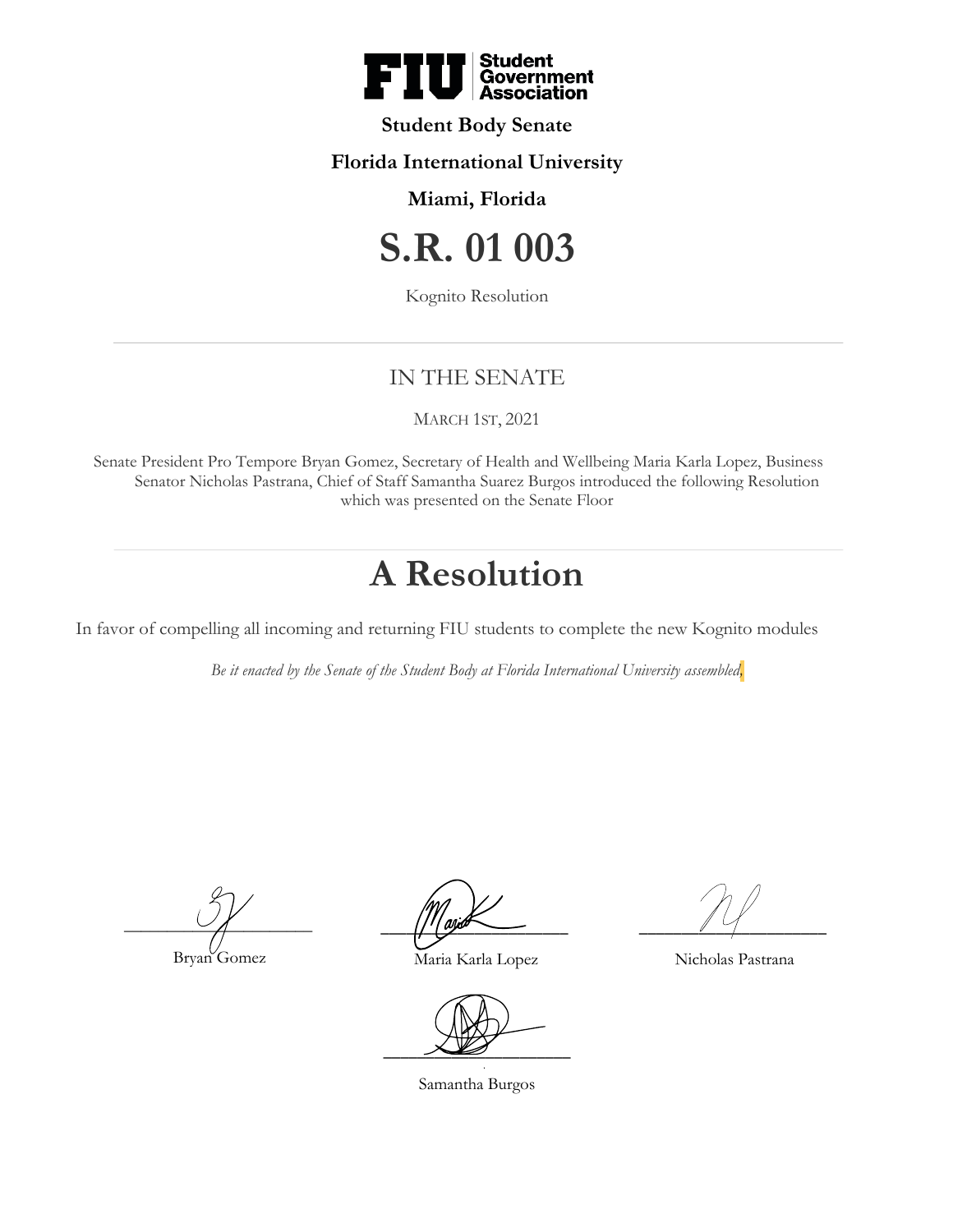

### **Student Body Senate**

### **Florida International University**

## **Miami, Florida**

# **S.R. 01 003**

Kognito Resolution

## IN THE SENATE

#### MARCH 1ST, 2021

Senate President Pro Tempore Bryan Gomez, Secretary of Health and Wellbeing Maria Karla Lopez, Business Senator Nicholas Pastrana, Chief of Staff Samantha Suarez Burgos introduced the following Resolution which was presented on the Senate Floor

# **A Resolution**

In favor of compelling all incoming and returning FIU students to complete the new Kognito modules

*Be it enacted by the Senate of the Student Body at Florida International University assembled,*

 $\overline{\phantom{a}}$ 

Bryan Gomez

 $\frac{1}{1}$  and  $\frac{1}{2}$ 

Maria Karla Lopez

 $\overline{\phantom{a}}$ 

Samantha Burgos

 $\overline{\phantom{a}1}$ 

Nicholas Pastrana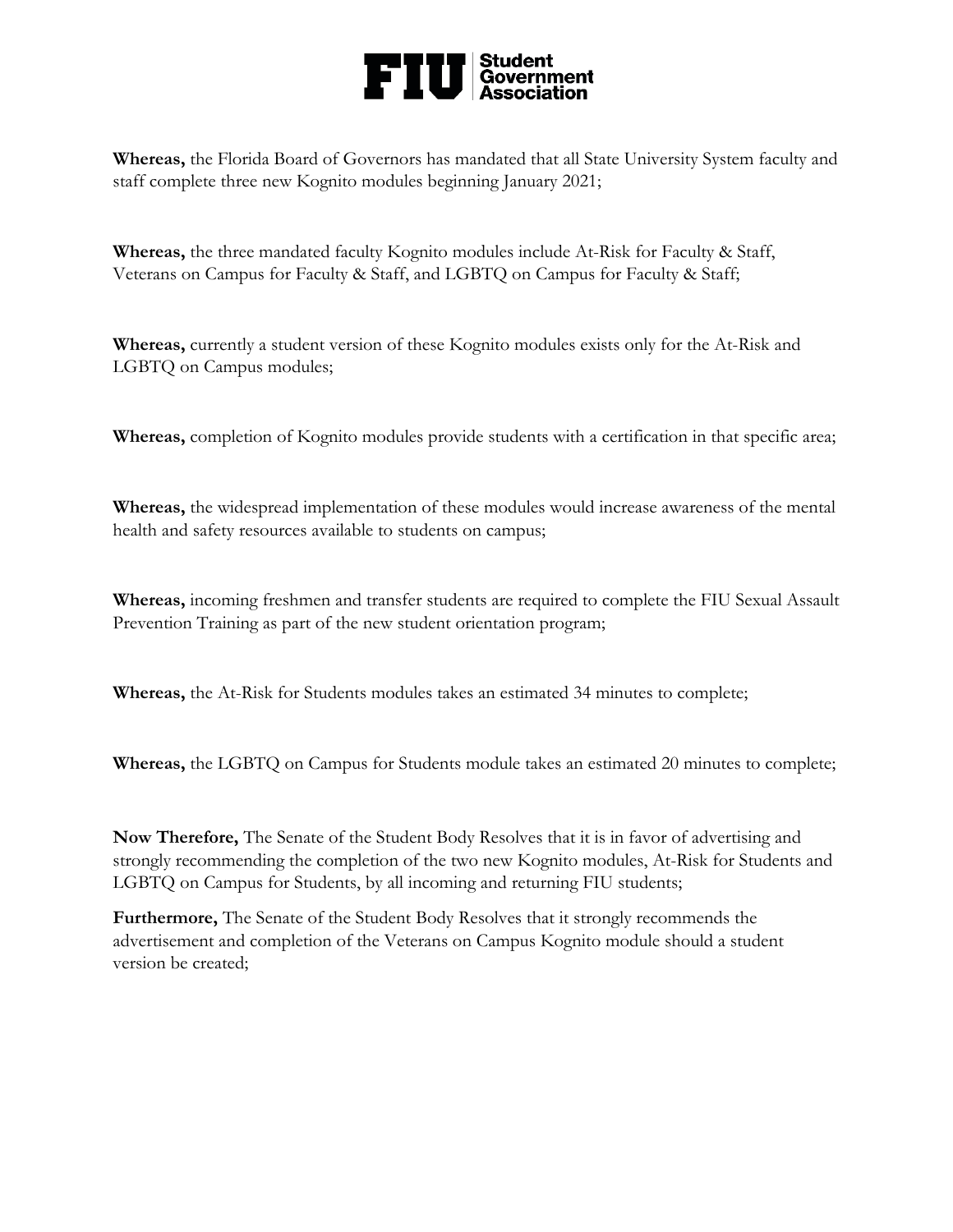

**Whereas,** the Florida Board of Governors has mandated that all State University System faculty and staff complete three new Kognito modules beginning January 2021;

**Whereas,** the three mandated faculty Kognito modules include At-Risk for Faculty & Staff, Veterans on Campus for Faculty & Staff, and LGBTQ on Campus for Faculty & Staff;

**Whereas,** currently a student version of these Kognito modules exists only for the At-Risk and LGBTQ on Campus modules;

**Whereas,** completion of Kognito modules provide students with a certification in that specific area;

**Whereas,** the widespread implementation of these modules would increase awareness of the mental health and safety resources available to students on campus;

**Whereas,** incoming freshmen and transfer students are required to complete the FIU Sexual Assault Prevention Training as part of the new student orientation program;

**Whereas,** the At-Risk for Students modules takes an estimated 34 minutes to complete;

**Whereas,** the LGBTQ on Campus for Students module takes an estimated 20 minutes to complete;

**Now Therefore,** The Senate of the Student Body Resolves that it is in favor of advertising and strongly recommending the completion of the two new Kognito modules, At-Risk for Students and LGBTQ on Campus for Students, by all incoming and returning FIU students;

**Furthermore,** The Senate of the Student Body Resolves that it strongly recommends the advertisement and completion of the Veterans on Campus Kognito module should a student version be created;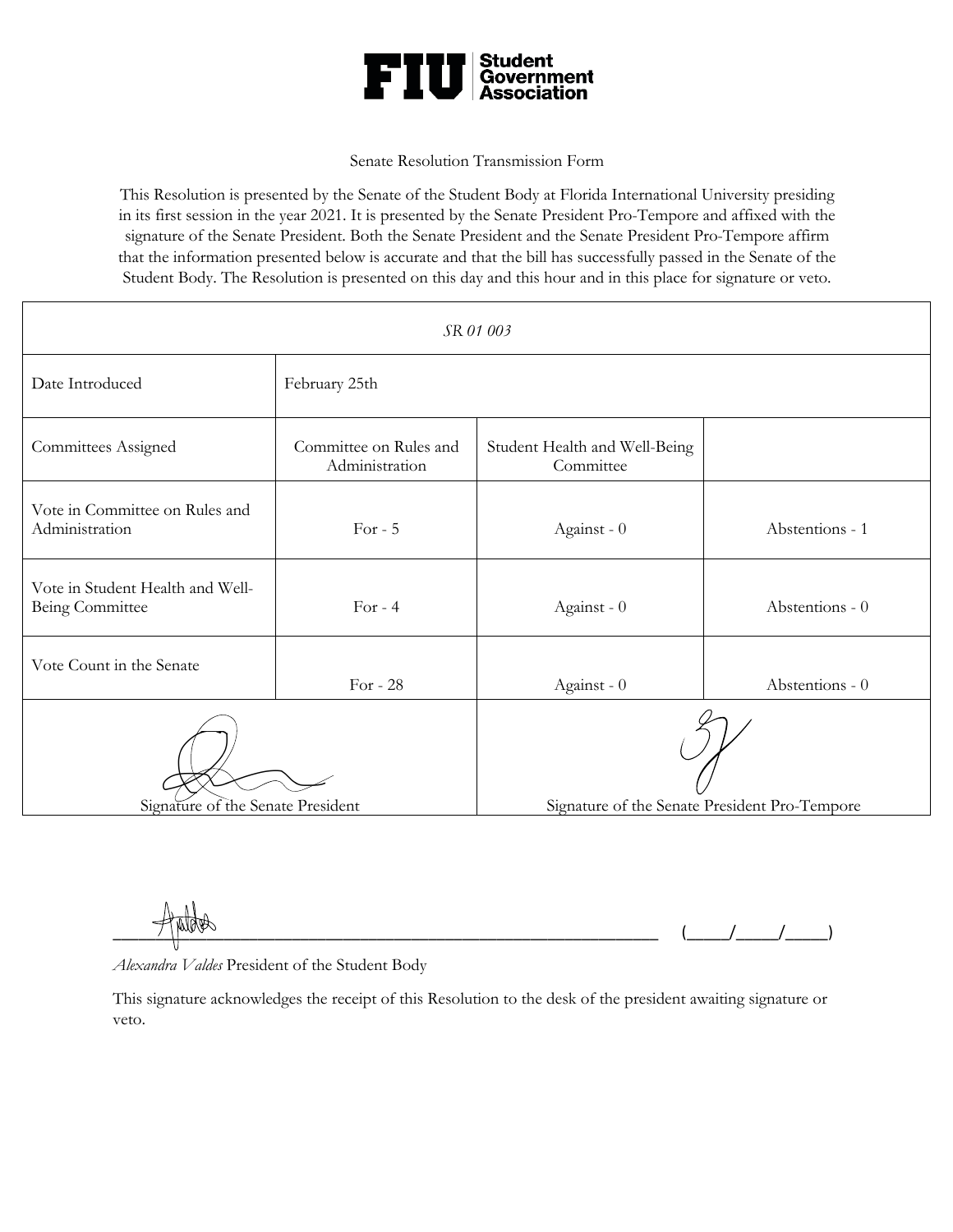

#### Senate Resolution Transmission Form

This Resolution is presented by the Senate of the Student Body at Florida International University presiding in its first session in the year 2021. It is presented by the Senate President Pro-Tempore and affixed with the signature of the Senate President. Both the Senate President and the Senate President Pro-Tempore affirm that the information presented below is accurate and that the bill has successfully passed in the Senate of the Student Body. The Resolution is presented on this day and this hour and in this place for signature or veto.

| SR 01 003                                           |                                          |                                               |                 |
|-----------------------------------------------------|------------------------------------------|-----------------------------------------------|-----------------|
| Date Introduced                                     | February 25th                            |                                               |                 |
| <b>Committees Assigned</b>                          | Committee on Rules and<br>Administration | Student Health and Well-Being<br>Committee    |                 |
| Vote in Committee on Rules and<br>Administration    | For $-5$                                 | Against - 0                                   | Abstentions - 1 |
| Vote in Student Health and Well-<br>Being Committee | For $-4$                                 | Against - 0                                   | Abstentions - 0 |
| Vote Count in the Senate                            | For - $28$                               | Against - 0                                   | Abstentions - 0 |
|                                                     |                                          |                                               |                 |
| Signature of the Senate President                   |                                          | Signature of the Senate President Pro-Tempore |                 |

 $(\_ \_ \_ \_ \_ \_ \_$ 

*Alexandra Valdes* President of the Student Body

This signature acknowledges the receipt of this Resolution to the desk of the president awaiting signature or veto.